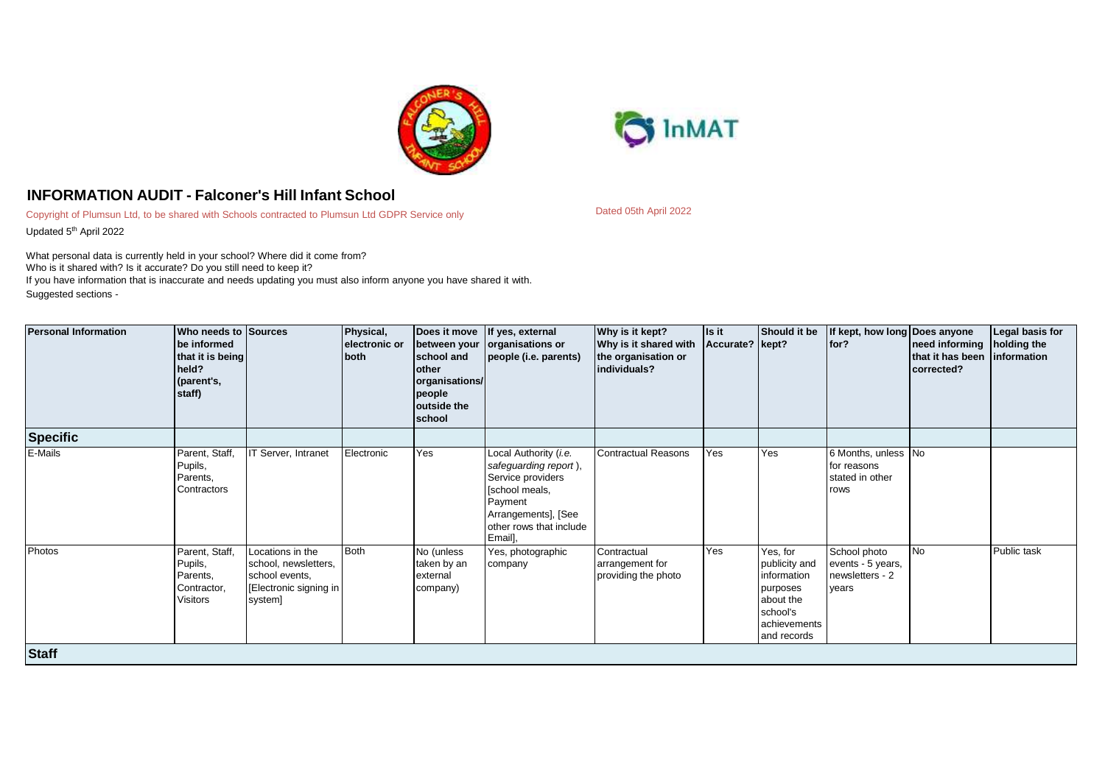



## **INFORMATION AUDIT - Falconer's Hill Infant School**

Copyright of Plumsun Ltd, to be shared with Schools contracted to Plumsun Ltd GDPR Service only Updated 5<sup>th</sup> April 2022

What personal data is currently held in your school? Where did it come from? Who is it shared with? Is it accurate? Do you still need to keep it? If you have information that is inaccurate and needs updating you must also inform anyone you have shared it with.

Suggested sections -

| <b>Personal Information</b> | Who needs to Sources<br>be informed<br>that it is being<br>held?<br>(parent's,<br>staff) |                                                                                                | Physical,<br>electronic or<br>both | between your<br>school and<br>other<br>organisations/<br>people<br>outside the<br>school | Does it move If yes, external<br>organisations or<br>people (i.e. parents)                                                                                    | Why is it kept?<br>Why is it shared with<br>the organisation or<br>individuals? | Is it<br>Accurate? kept? | Should it be                                                                                                 | If kept, how long Does anyone<br>for?                         | need informing<br>that it has been information<br>corrected? | Legal basis for<br>holding the |
|-----------------------------|------------------------------------------------------------------------------------------|------------------------------------------------------------------------------------------------|------------------------------------|------------------------------------------------------------------------------------------|---------------------------------------------------------------------------------------------------------------------------------------------------------------|---------------------------------------------------------------------------------|--------------------------|--------------------------------------------------------------------------------------------------------------|---------------------------------------------------------------|--------------------------------------------------------------|--------------------------------|
| <b>Specific</b>             |                                                                                          |                                                                                                |                                    |                                                                                          |                                                                                                                                                               |                                                                                 |                          |                                                                                                              |                                                               |                                                              |                                |
| E-Mails                     | Parent, Staff,<br>Pupils,<br>Parents,<br>Contractors                                     | IT Server, Intranet                                                                            | Electronic                         | Yes                                                                                      | Local Authority (i.e.<br>safeguarding report),<br>Service providers<br>[school meals,<br>Payment<br>Arrangements], [See<br>other rows that include<br>Email], | <b>Contractual Reasons</b>                                                      | Yes                      | Yes                                                                                                          | 6 Months, unless No<br>for reasons<br>stated in other<br>rows |                                                              |                                |
| Photos                      | Parent, Staff,<br>Pupils,<br>Parents,<br>Contractor,<br>Visitors                         | Locations in the<br>school, newsletters,<br>school events,<br>Electronic signing in<br>system] | <b>Both</b>                        | No (unless<br>taken by an<br>external<br>company)                                        | Yes, photographic<br>company                                                                                                                                  | Contractual<br>arrangement for<br>providing the photo                           | Yes                      | Yes, for<br>publicity and<br>information<br>purposes<br>about the<br>school's<br>achievements<br>and records | School photo<br>events - 5 years,<br>newsletters - 2<br>vears | <b>No</b>                                                    | Public task                    |
| <b>Staff</b>                |                                                                                          |                                                                                                |                                    |                                                                                          |                                                                                                                                                               |                                                                                 |                          |                                                                                                              |                                                               |                                                              |                                |

Dated 05th April 2022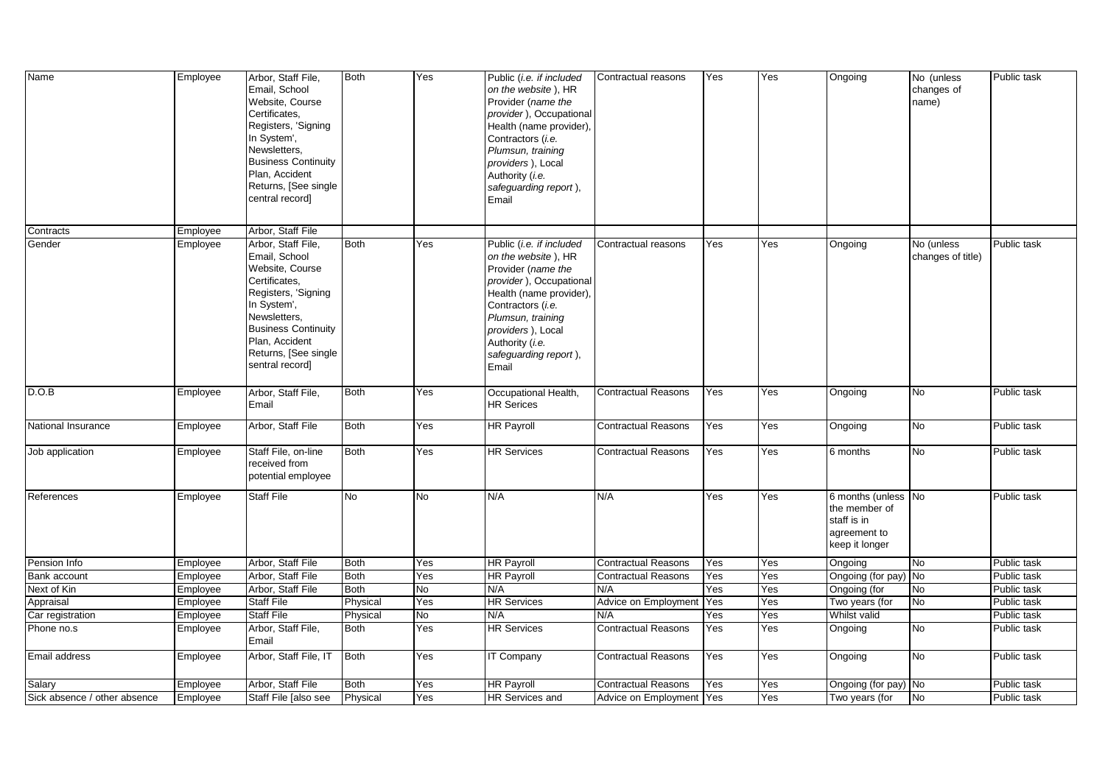| Name                           | Employee             | Arbor, Staff File,<br>Email, School<br>Website, Course<br>Certificates,<br>Registers, 'Signing<br>In System',<br>Newsletters,<br><b>Business Continuity</b><br>Plan, Accident<br>Returns, [See single<br>central record] | Both             | Yes       | Public (i.e. if included<br>on the website), HR<br>Provider (name the<br>provider), Occupational<br>Health (name provider),<br>Contractors (i.e.<br>Plumsun, training<br>providers), Local<br>Authority (i.e.<br>safeguarding report),<br>Email | Contractual reasons               | Yes        | Yes        | Ongoing                                                                               | No (unless<br>changes of<br>name) | Public task                |
|--------------------------------|----------------------|--------------------------------------------------------------------------------------------------------------------------------------------------------------------------------------------------------------------------|------------------|-----------|-------------------------------------------------------------------------------------------------------------------------------------------------------------------------------------------------------------------------------------------------|-----------------------------------|------------|------------|---------------------------------------------------------------------------------------|-----------------------------------|----------------------------|
| Contracts                      | Employee             | Arbor, Staff File                                                                                                                                                                                                        |                  |           |                                                                                                                                                                                                                                                 |                                   |            |            |                                                                                       |                                   |                            |
| Gender                         | Employee             | Arbor, Staff File,<br>Email, School<br>Website, Course<br>Certificates,<br>Registers, 'Signing<br>In System',<br>Newsletters,<br><b>Business Continuity</b><br>Plan, Accident<br>Returns, [See single<br>sentral record] | Both             | Yes       | Public (i.e. if included<br>on the website), HR<br>Provider (name the<br>provider), Occupational<br>Health (name provider),<br>Contractors (i.e.<br>Plumsun, training<br>providers), Local<br>Authority (i.e.<br>safeguarding report),<br>Email | Contractual reasons               | Yes        | Yes        | Ongoing                                                                               | No (unless<br>changes of title)   | Public task                |
| D.O.B                          | Employee             | Arbor, Staff File,<br>Email                                                                                                                                                                                              | <b>Both</b>      | Yes       | Occupational Health,<br><b>HR Serices</b>                                                                                                                                                                                                       | <b>Contractual Reasons</b>        | Yes        | Yes        | Ongoing                                                                               | <b>No</b>                         | Public task                |
| National Insurance             | Employee             | Arbor, Staff File                                                                                                                                                                                                        | <b>Both</b>      | Yes       | <b>HR Payroll</b>                                                                                                                                                                                                                               | <b>Contractual Reasons</b>        | Yes        | Yes        | Ongoing                                                                               | <b>No</b>                         | Public task                |
| Job application                | Employee             | Staff File, on-line<br>received from<br>potential employee                                                                                                                                                               | <b>Both</b>      | Yes       | <b>HR Services</b>                                                                                                                                                                                                                              | <b>Contractual Reasons</b>        | Yes        | Yes        | 6 months                                                                              | <b>No</b>                         | Public task                |
| References                     | Employee             | Staff File                                                                                                                                                                                                               | No               | No.       | N/A                                                                                                                                                                                                                                             | N/A                               | Yes        | Yes        | 6 months (unless No<br>the member of<br>staff is in<br>agreement to<br>keep it longer |                                   | Public task                |
| Pension Info                   | Employee             | Arbor, Staff File                                                                                                                                                                                                        | <b>Both</b>      | Yes       | <b>HR Payroll</b>                                                                                                                                                                                                                               | <b>Contractual Reasons</b>        | Yes        | Yes        | Ongoing                                                                               | No                                | Public task                |
| <b>Bank account</b>            | Employee             | Arbor, Staff File                                                                                                                                                                                                        | <b>Both</b>      | Yes       | <b>HR Payroll</b>                                                                                                                                                                                                                               | <b>Contractual Reasons</b>        | Yes        | Yes        | Ongoing (for pay) No                                                                  |                                   | Public task                |
| Next of Kin                    | Employee             | Arbor, Staff File                                                                                                                                                                                                        | <b>Both</b>      | No        | N/A                                                                                                                                                                                                                                             | N/A                               | Yes        | Yes        | Ongoing (for                                                                          | g                                 | Public task                |
| Appraisal                      | Employee             | Staff File<br><b>Staff File</b>                                                                                                                                                                                          | Physical         | Yes<br>No | <b>HR Services</b>                                                                                                                                                                                                                              | Advice on Employment              | Yes        | Yes        | Two years (for                                                                        | No                                | Public task                |
| Car registration<br>Phone no.s | Employee<br>Employee | Arbor, Staff File,<br>Email                                                                                                                                                                                              | Physical<br>Both | Yes       | N/A<br><b>HR Services</b>                                                                                                                                                                                                                       | N/A<br><b>Contractual Reasons</b> | Yes<br>Yes | Yes<br>Yes | Whilst valid<br>Ongoing                                                               | No                                | Public task<br>Public task |
| Email address                  | Employee             | Arbor, Staff File, IT                                                                                                                                                                                                    | <b>Both</b>      | Yes       | <b>IT Company</b>                                                                                                                                                                                                                               | <b>Contractual Reasons</b>        | Yes        | Yes        | Ongoing                                                                               | Мo                                | Public task                |
| Salary                         | Employee             | Arbor, Staff File                                                                                                                                                                                                        | <b>Both</b>      | Yes       | <b>HR Payroll</b>                                                                                                                                                                                                                               | <b>Contractual Reasons</b>        | Yes        | Yes        | Ongoing (for pay) No                                                                  |                                   | Public task                |
| Sick absence / other absence   | Employee             | Staff File [also see                                                                                                                                                                                                     | Physical         | Yes       | <b>HR Services and</b>                                                                                                                                                                                                                          | Advice on Employment              | Yes        | Yes        | Two years (for                                                                        | No                                | Public task                |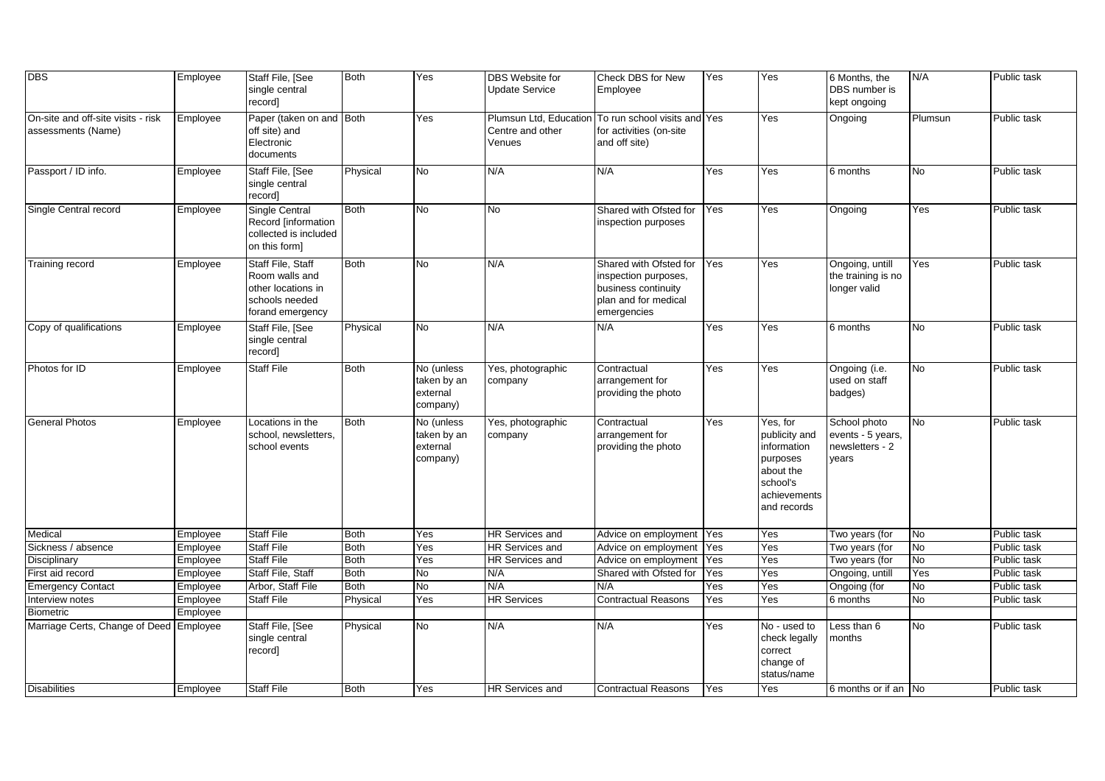| <b>DBS</b>                                               | Employee             | Staff File, [See<br>single central<br>record]                                                   | <b>Both</b> | Yes                                               | DBS Website for<br><b>Update Service</b>             | Check DBS for New<br>Employee                                                                                | Yes        | Yes                                                                                                          | 6 Months, the<br>DBS number is<br>kept ongoing                | N/A            | Public task |
|----------------------------------------------------------|----------------------|-------------------------------------------------------------------------------------------------|-------------|---------------------------------------------------|------------------------------------------------------|--------------------------------------------------------------------------------------------------------------|------------|--------------------------------------------------------------------------------------------------------------|---------------------------------------------------------------|----------------|-------------|
| On-site and off-site visits - risk<br>assessments (Name) | Employee             | Paper (taken on and Both<br>off site) and<br>Electronic<br>documents                            |             | Yes                                               | Plumsun Ltd, Education<br>Centre and other<br>Venues | To run school visits and Yes<br>for activities (on-site<br>and off site)                                     |            | Yes                                                                                                          | Ongoing                                                       | Plumsun        | Public task |
| Passport / ID info.                                      | Employee             | Staff File, [See<br>single central<br>record]                                                   | Physical    | No                                                | N/A                                                  | N/A                                                                                                          | Yes        | Yes                                                                                                          | 6 months                                                      | No             | Public task |
| Single Central record                                    | Employee             | Single Central<br>Record [information<br>collected is included<br>on this form]                 | <b>Both</b> | No                                                | No                                                   | Shared with Ofsted for<br>inspection purposes                                                                | Yes        | Yes                                                                                                          | Ongoing                                                       | Yes            | Public task |
| Training record                                          | Employee             | Staff File, Staff<br>Room walls and<br>other locations in<br>schools needed<br>forand emergency | Both        | No                                                | N/A                                                  | Shared with Ofsted for<br>inspection purposes,<br>business continuity<br>plan and for medical<br>emergencies | Yes        | Yes                                                                                                          | Ongoing, untill<br>the training is no<br>longer valid         | Yes            | Public task |
| Copy of qualifications                                   | Employee             | Staff File, [See<br>single central<br>record]                                                   | Physical    | No                                                | N/A                                                  | N/A                                                                                                          | Yes        | Yes                                                                                                          | 6 months                                                      | No             | Public task |
| Photos for ID                                            | Employee             | <b>Staff File</b>                                                                               | Both        | No (unless<br>taken by an<br>external<br>company) | Yes, photographic<br>company                         | Contractual<br>arrangement for<br>providing the photo                                                        | Yes        | Yes                                                                                                          | Ongoing (i.e.<br>used on staff<br>badges)                     | No             | Public task |
| <b>General Photos</b>                                    | Employee             | Locations in the<br>school, newsletters,<br>school events                                       | <b>Both</b> | No (unless<br>taken by an<br>external<br>company) | Yes, photographic<br>company                         | Contractual<br>arrangement for<br>providing the photo                                                        | Yes        | Yes, for<br>publicity and<br>information<br>purposes<br>about the<br>school's<br>achievements<br>and records | School photo<br>events - 5 years,<br>newsletters - 2<br>vears | N <sub>o</sub> | Public task |
| Medical                                                  | Employee             | <b>Staff File</b>                                                                               | <b>Both</b> | Yes                                               | <b>HR Services and</b>                               | Advice on employment   Yes                                                                                   |            | Yes                                                                                                          | Two years (for                                                | No             | Public task |
| Sickness / absence                                       | Employee             | <b>Staff File</b>                                                                               | <b>Both</b> | Yes                                               | <b>HR Services and</b>                               | Advice on employment                                                                                         | Yes        | Yes                                                                                                          | Two years (for                                                | No             | Public task |
| Disciplinary                                             | Employee             | <b>Staff File</b>                                                                               | <b>Both</b> | Yes                                               | <b>HR Services and</b>                               | Advice on employment                                                                                         | Yes        | Yes                                                                                                          | Two years (for                                                | No             | Public task |
| First aid record                                         | Employee             | Staff File, Staff<br>Arbor, Staff File                                                          | <b>Both</b> | No                                                | N/A                                                  | Shared with Ofsted for                                                                                       | Yes        | Yes                                                                                                          | Ongoing, untill                                               | Yes            | Public task |
| <b>Emergency Contact</b><br>Interview notes              | Employee             | <b>Staff File</b>                                                                               | Both        | No                                                | N/A<br><b>HR Services</b>                            | N/A<br><b>Contractual Reasons</b>                                                                            | Yes<br>Yes | Yes<br>Yes                                                                                                   | Ongoing (for                                                  | No<br>No       | Public task |
| <b>Biometric</b>                                         | Employee<br>Employee |                                                                                                 | Physical    | Yes                                               |                                                      |                                                                                                              |            |                                                                                                              | 6 months                                                      |                | Public task |
| Marriage Certs, Change of Deed Employee                  |                      | Staff File, [See<br>single central<br>record]                                                   | Physical    | No                                                | N/A                                                  | N/A                                                                                                          | Yes        | No - used to<br>check legally<br>correct<br>change of<br>status/name                                         | ess than 6<br>months                                          | <b>No</b>      | Public task |
| <b>Disabilities</b>                                      | Employee             | <b>Staff File</b>                                                                               | <b>Both</b> | Yes                                               | <b>HR Services and</b>                               | <b>Contractual Reasons</b>                                                                                   | Yes        | Yes                                                                                                          | 6 months or if an No                                          |                | Public task |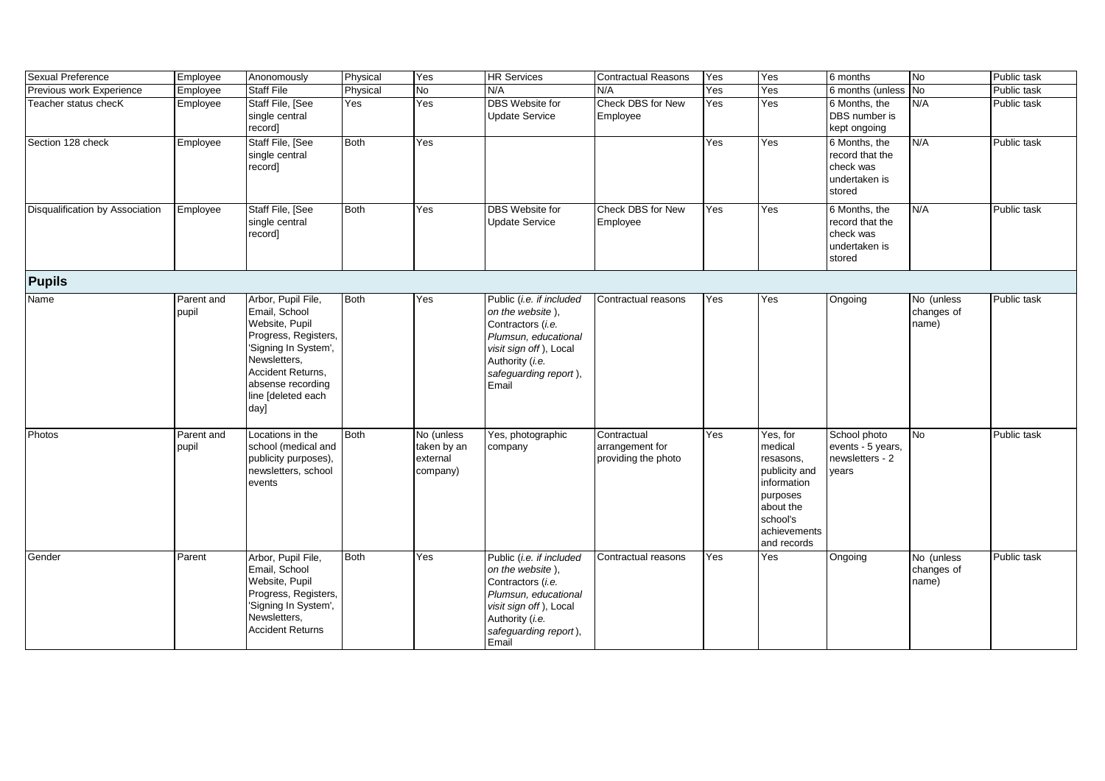| Sexual Preference               | Employee            | Anonomously                                                                                                                                                                                   | Physical    | Yes                                               | <b>HR Services</b>                                                                                                                                                       | <b>Contractual Reasons</b>                            | Yes | Yes                                                                                                                                  | 6 months                                                                 | No                                | Public task |
|---------------------------------|---------------------|-----------------------------------------------------------------------------------------------------------------------------------------------------------------------------------------------|-------------|---------------------------------------------------|--------------------------------------------------------------------------------------------------------------------------------------------------------------------------|-------------------------------------------------------|-----|--------------------------------------------------------------------------------------------------------------------------------------|--------------------------------------------------------------------------|-----------------------------------|-------------|
| Previous work Experience        | Employee            | <b>Staff File</b>                                                                                                                                                                             | Physical    | No                                                | N/A                                                                                                                                                                      | N/A                                                   | Yes | Yes                                                                                                                                  | 6 months (unless                                                         | No                                | Public task |
| Teacher status checK            | Employee            | Staff File, [See<br>single central<br>record]                                                                                                                                                 | Yes         | Yes                                               | <b>DBS</b> Website for<br><b>Update Service</b>                                                                                                                          | Check DBS for New<br>Employee                         | Yes | Yes                                                                                                                                  | 6 Months, the<br>DBS number is<br>kept ongoing                           | N/A                               | Public task |
| Section 128 check               | Employee            | Staff File, [See<br>single central<br>record]                                                                                                                                                 | <b>Both</b> | Yes                                               |                                                                                                                                                                          |                                                       | Yes | Yes                                                                                                                                  | 6 Months, the<br>record that the<br>check was<br>undertaken is<br>stored | N/A                               | Public task |
| Disqualification by Association | Employee            | Staff File, [See<br>single central<br>record]                                                                                                                                                 | <b>Both</b> | Yes                                               | <b>DBS</b> Website for<br><b>Update Service</b>                                                                                                                          | Check DBS for New<br>Employee                         | Yes | Yes                                                                                                                                  | 6 Months, the<br>record that the<br>check was<br>undertaken is<br>stored | N/A                               | Public task |
| <b>Pupils</b>                   |                     |                                                                                                                                                                                               |             |                                                   |                                                                                                                                                                          |                                                       |     |                                                                                                                                      |                                                                          |                                   |             |
| Name                            | Parent and<br>pupil | Arbor, Pupil File,<br>Email, School<br>Website, Pupil<br>Progress, Registers,<br>'Signing In System',<br>Newsletters,<br>Accident Returns,<br>absense recording<br>line [deleted each<br>day] | <b>Both</b> | Yes                                               | Public (i.e. if included<br>on the website),<br>Contractors (i.e.<br>Plumsun, educational<br>visit sign off), Local<br>Authority (i.e.<br>safeguarding report),<br>Email | Contractual reasons                                   | Yes | Yes                                                                                                                                  | Ongoing                                                                  | No (unless<br>changes of<br>name) | Public task |
| Photos                          | Parent and<br>pupil | Locations in the<br>school (medical and<br>publicity purposes),<br>newsletters, school<br>events                                                                                              | <b>Both</b> | No (unless<br>taken by an<br>external<br>company) | Yes, photographic<br>company                                                                                                                                             | Contractual<br>arrangement for<br>providing the photo | Yes | Yes, for<br>medical<br>resasons,<br>publicity and<br>information<br>purposes<br>about the<br>school's<br>achievements<br>and records | School photo<br>events - 5 years,<br>newsletters - 2<br>vears            | <b>No</b>                         | Public task |
| Gender                          | Parent              | Arbor, Pupil File,<br>Email, School<br>Website, Pupil<br>Progress, Registers,<br>'Signing In System',<br>Newsletters,<br><b>Accident Returns</b>                                              | <b>Both</b> | Yes                                               | Public (i.e. if included<br>on the website).<br>Contractors (i.e.<br>Plumsun, educational<br>visit sign off), Local<br>Authority (i.e.<br>safeguarding report),<br>Email | Contractual reasons                                   | Yes | Yes                                                                                                                                  | Ongoing                                                                  | No (unless<br>changes of<br>name) | Public task |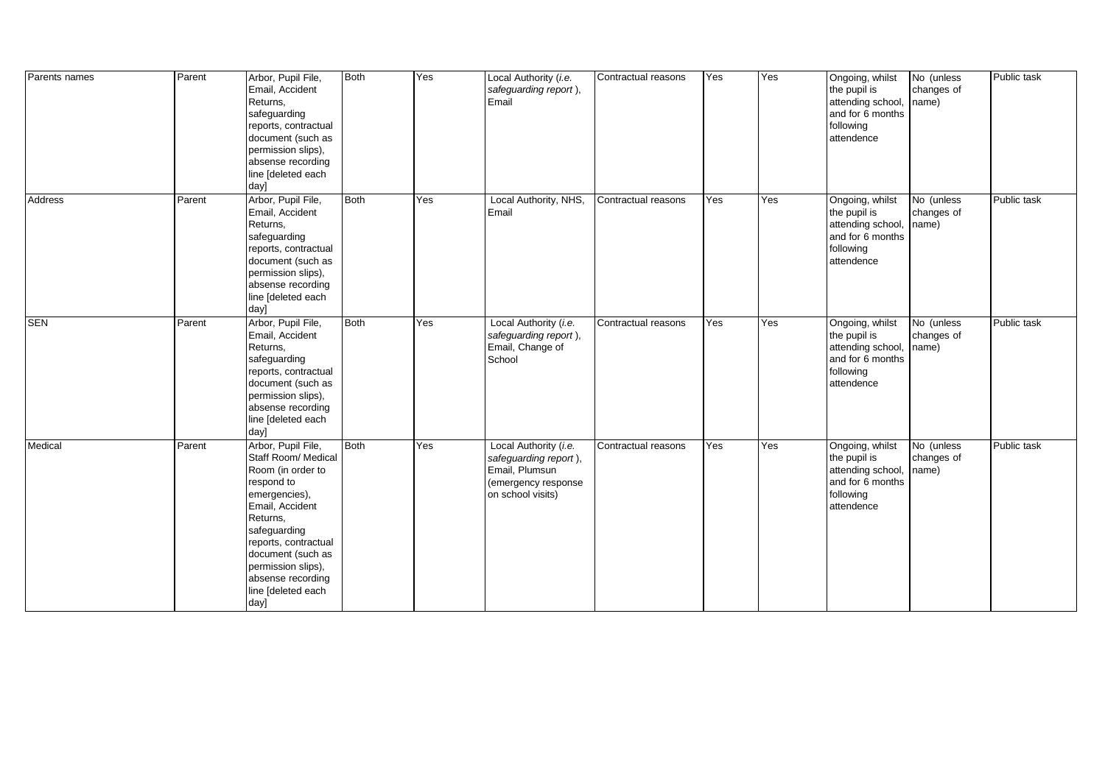| Parents names | Parent | Arbor, Pupil File,<br>Email, Accident<br>Returns,<br>safeguarding<br>reports, contractual<br>document (such as<br>permission slips),<br>absense recording<br>line [deleted each<br>day]                                                                            | <b>Both</b> | Yes | Local Authority (i.e.<br>safeguarding report),<br>Email                                                      | Contractual reasons | Yes | Yes | Ongoing, whilst<br>the pupil is<br>attending school,<br>and for 6 months<br>following<br>attendence | No (unless<br>changes of<br>name) | Public task |
|---------------|--------|--------------------------------------------------------------------------------------------------------------------------------------------------------------------------------------------------------------------------------------------------------------------|-------------|-----|--------------------------------------------------------------------------------------------------------------|---------------------|-----|-----|-----------------------------------------------------------------------------------------------------|-----------------------------------|-------------|
| Address       | Parent | Arbor, Pupil File,<br>Email, Accident<br>Returns,<br>safeguarding<br>reports, contractual<br>document (such as<br>permission slips),<br>absense recording<br>line [deleted each<br>day]                                                                            | <b>Both</b> | Yes | Local Authority, NHS,<br>Email                                                                               | Contractual reasons | Yes | Yes | Ongoing, whilst<br>the pupil is<br>attending school,<br>and for 6 months<br>following<br>attendence | No (unless<br>changes of<br>name) | Public task |
| <b>SEN</b>    | Parent | Arbor, Pupil File,<br>Email, Accident<br>Returns,<br>safeguarding<br>reports, contractual<br>document (such as<br>permission slips),<br>absense recording<br>line [deleted each<br>day]                                                                            | Both        | Yes | Local Authority (i.e.<br>safeguarding report),<br>Email, Change of<br>School                                 | Contractual reasons | Yes | Yes | Ongoing, whilst<br>the pupil is<br>attending school,<br>and for 6 months<br>following<br>attendence | No (unless<br>changes of<br>name) | Public task |
| Medical       | Parent | Arbor, Pupil File,<br>Staff Room/ Medical<br>Room (in order to<br>respond to<br>emergencies),<br>Email, Accident<br>Returns,<br>safeguarding<br>reports, contractual<br>document (such as<br>permission slips),<br>absense recording<br>line [deleted each<br>day] | <b>Both</b> | Yes | Local Authority (i.e.<br>safeguarding report),<br>Email, Plumsun<br>(emergency response<br>on school visits) | Contractual reasons | Yes | Yes | Ongoing, whilst<br>the pupil is<br>attending school,<br>and for 6 months<br>following<br>attendence | No (unless<br>changes of<br>name) | Public task |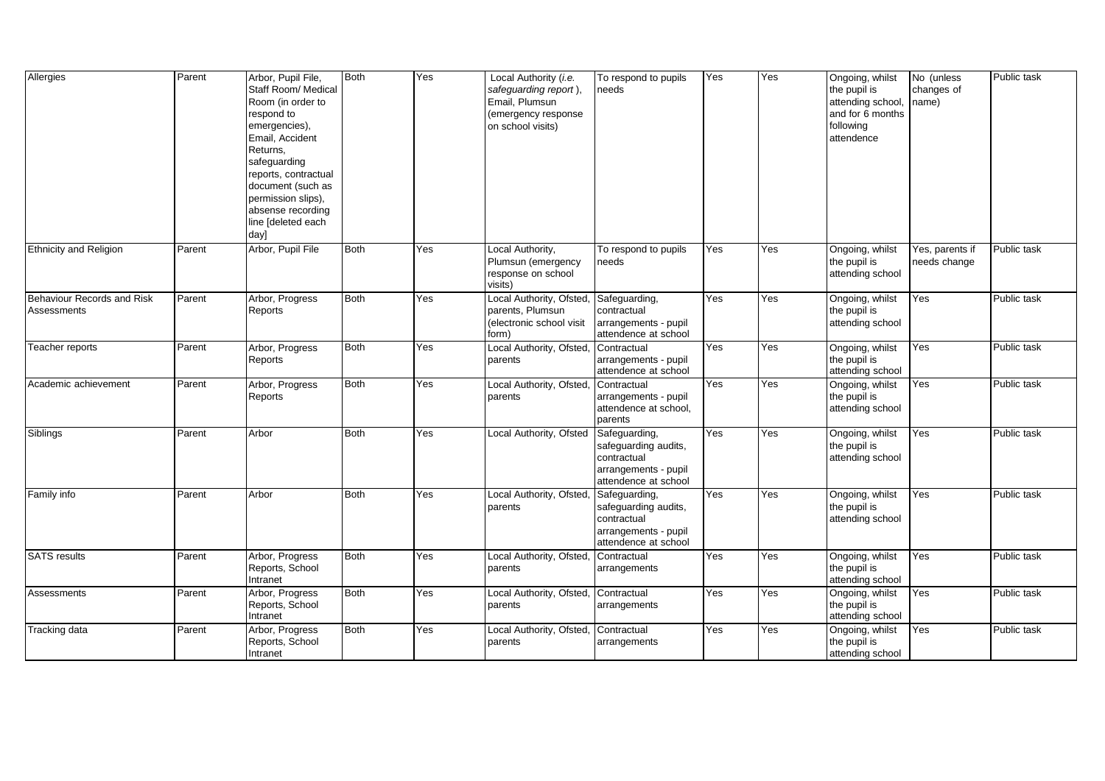| Allergies                                 | Parent | Arbor, Pupil File,<br>Staff Room/ Medical<br>Room (in order to<br>respond to<br>emergencies),<br>Email, Accident<br>Returns,<br>safeguarding<br>reports, contractual<br>document (such as<br>permission slips),<br>absense recording<br>line [deleted each<br>day] | Both | Yes | Local Authority (i.e.<br>safeguarding report),<br>Email, Plumsun<br>(emergency response<br>on school visits) | To respond to pupils<br>needs                                                                        | Yes | Yes | Ongoing, whilst<br>the pupil is<br>attending school, name)<br>and for 6 months<br>following<br>attendence | No (unless<br>changes of        | Public task |
|-------------------------------------------|--------|--------------------------------------------------------------------------------------------------------------------------------------------------------------------------------------------------------------------------------------------------------------------|------|-----|--------------------------------------------------------------------------------------------------------------|------------------------------------------------------------------------------------------------------|-----|-----|-----------------------------------------------------------------------------------------------------------|---------------------------------|-------------|
| <b>Ethnicity and Religion</b>             | Parent | Arbor, Pupil File                                                                                                                                                                                                                                                  | Both | Yes | Local Authority,<br>Plumsun (emergency<br>response on school<br>visits)                                      | To respond to pupils<br>needs                                                                        | Yes | Yes | Ongoing, whilst<br>the pupil is<br>attending school                                                       | Yes, parents if<br>needs change | Public task |
| Behaviour Records and Risk<br>Assessments | Parent | Arbor, Progress<br>Reports                                                                                                                                                                                                                                         | Both | Yes | Local Authority, Ofsted,<br>parents, Plumsun<br>(electronic school visit<br>form)                            | Safeguarding,<br>contractual<br>arrangements - pupil<br>attendence at school                         | Yes | Yes | Ongoing, whilst<br>the pupil is<br>attending school                                                       | Yes                             | Public task |
| Teacher reports                           | Parent | Arbor, Progress<br>Reports                                                                                                                                                                                                                                         | Both | Yes | Local Authority, Ofsted,<br>parents                                                                          | Contractual<br>arrangements - pupil<br>attendence at school                                          | Yes | Yes | Ongoing, whilst<br>the pupil is<br>attending school                                                       | Yes                             | Public task |
| Academic achievement                      | Parent | Arbor, Progress<br>Reports                                                                                                                                                                                                                                         | Both | Yes | Local Authority, Ofsted,<br>parents                                                                          | Contractual<br>arrangements - pupil<br>attendence at school,<br>parents                              | Yes | Yes | Ongoing, whilst<br>the pupil is<br>attending school                                                       | Yes                             | Public task |
| Siblings                                  | Parent | Arbor                                                                                                                                                                                                                                                              | Both | Yes | Local Authority, Ofsted                                                                                      | Safeguarding,<br>safeguarding audits,<br>contractual<br>arrangements - pupil<br>attendence at school | Yes | Yes | Ongoing, whilst<br>the pupil is<br>attending school                                                       | Yes                             | Public task |
| Family info                               | Parent | Arbor                                                                                                                                                                                                                                                              | Both | Yes | Local Authority, Ofsted,<br>parents                                                                          | Safeguarding,<br>safeguarding audits,<br>contractual<br>arrangements - pupil<br>attendence at school | Yes | Yes | Ongoing, whilst<br>the pupil is<br>attending school                                                       | Yes                             | Public task |
| <b>SATS</b> results                       | Parent | Arbor, Progress<br>Reports, School<br>Intranet                                                                                                                                                                                                                     | Both | Yes | Local Authority, Ofsted,<br>parents                                                                          | Contractual<br>arrangements                                                                          | Yes | Yes | Ongoing, whilst<br>the pupil is<br>attending school                                                       | Yes                             | Public task |
| Assessments                               | Parent | Arbor, Progress<br>Reports, School<br>Intranet                                                                                                                                                                                                                     | Both | Yes | Local Authority, Ofsted,<br>parents                                                                          | Contractual<br>arrangements                                                                          | Yes | Yes | Ongoing, whilst<br>the pupil is<br>attending school                                                       | Yes                             | Public task |
| Tracking data                             | Parent | Arbor, Progress<br>Reports, School<br>Intranet                                                                                                                                                                                                                     | Both | Yes | Local Authority, Ofsted, Contractual<br>parents                                                              | arrangements                                                                                         | Yes | Yes | Ongoing, whilst<br>the pupil is<br>attending school                                                       | Yes                             | Public task |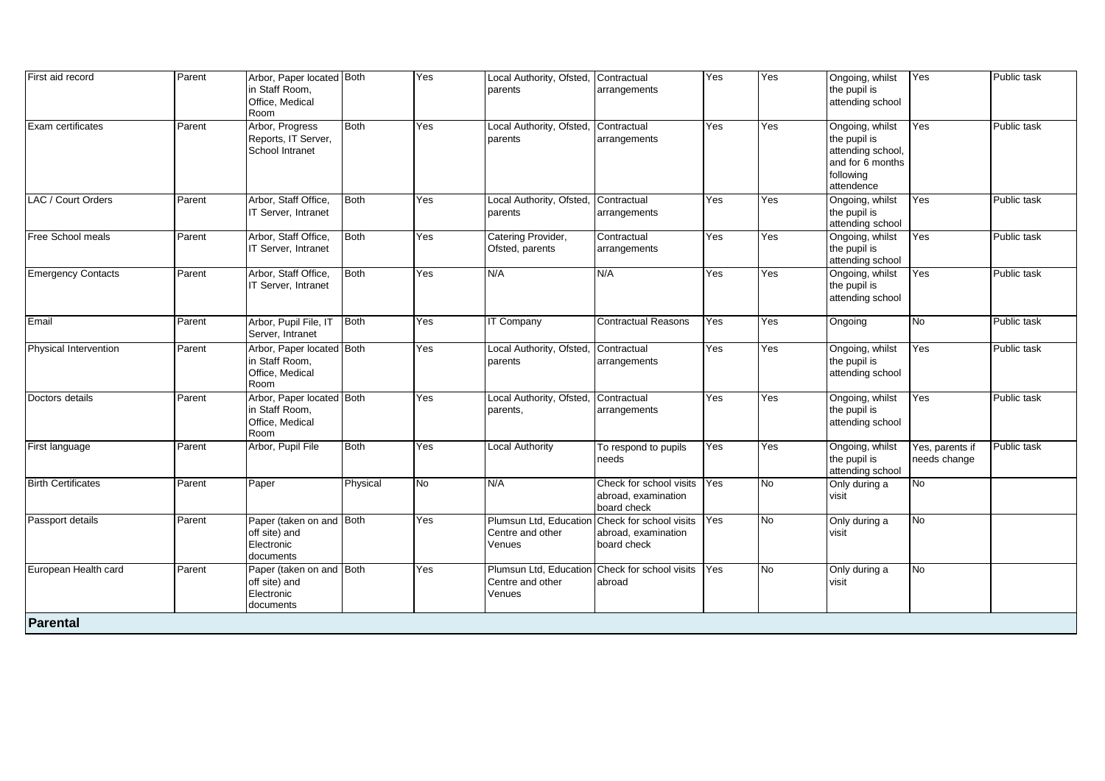| First aid record          | Parent | Arbor, Paper located Both<br>in Staff Room,<br>Office, Medical<br>Room |             | Yes | Local Authority, Ofsted, Contractual<br>parents                              | arrangements                                                  | Yes | Yes            | Ongoing, whilst<br>the pupil is<br>attending school                                                 | Yes                             | Public task |
|---------------------------|--------|------------------------------------------------------------------------|-------------|-----|------------------------------------------------------------------------------|---------------------------------------------------------------|-----|----------------|-----------------------------------------------------------------------------------------------------|---------------------------------|-------------|
| Exam certificates         | Parent | Arbor, Progress<br>Reports, IT Server,<br>School Intranet              | Both        | Yes | Local Authority, Ofsted,<br>parents                                          | Contractual<br>arrangements                                   | Yes | Yes            | Ongoing, whilst<br>the pupil is<br>attending school,<br>and for 6 months<br>following<br>attendence | Yes                             | Public task |
| LAC / Court Orders        | Parent | Arbor, Staff Office,<br>IT Server, Intranet                            | <b>Both</b> | Yes | Local Authority, Ofsted,<br>parents                                          | Contractual<br>arrangements                                   | Yes | Yes            | Ongoing, whilst<br>the pupil is<br>attending school                                                 | Yes                             | Public task |
| <b>Free School meals</b>  | Parent | Arbor, Staff Office,<br>IT Server, Intranet                            | <b>Both</b> | Yes | Catering Provider,<br>Ofsted, parents                                        | Contractual<br>arrangements                                   | Yes | Yes            | Ongoing, whilst<br>the pupil is<br>attending school                                                 | Yes                             | Public task |
| <b>Emergency Contacts</b> | Parent | Arbor, Staff Office,<br>IT Server, Intranet                            | <b>Both</b> | Yes | N/A                                                                          | N/A                                                           | Yes | Yes            | Ongoing, whilst<br>the pupil is<br>attending school                                                 | Yes                             | Public task |
| Email                     | Parent | Arbor, Pupil File, IT<br>Server, Intranet                              | <b>Both</b> | Yes | <b>IT Company</b>                                                            | <b>Contractual Reasons</b>                                    | Yes | Yes            | Ongoing                                                                                             | No                              | Public task |
| Physical Intervention     | Parent | Arbor, Paper located Both<br>in Staff Room,<br>Office, Medical<br>Room |             | Yes | Local Authority, Ofsted,<br>parents                                          | Contractual<br>arrangements                                   | Yes | Yes            | Ongoing, whilst<br>the pupil is<br>attending school                                                 | Yes                             | Public task |
| Doctors details           | Parent | Arbor, Paper located Both<br>in Staff Room,<br>Office, Medical<br>Room |             | Yes | Local Authority, Ofsted,<br>parents,                                         | Contractual<br>arrangements                                   | Yes | Yes            | Ongoing, whilst<br>the pupil is<br>attending school                                                 | Yes                             | Public task |
| First language            | Parent | Arbor, Pupil File                                                      | <b>Both</b> | Yes | <b>Local Authority</b>                                                       | To respond to pupils<br>needs                                 | Yes | Yes            | Ongoing, whilst<br>the pupil is<br>attending school                                                 | Yes, parents if<br>needs change | Public task |
| <b>Birth Certificates</b> | Parent | Paper                                                                  | Physical    | No  | N/A                                                                          | Check for school visits<br>abroad, examination<br>board check | Yes | No.            | Only during a<br>visit                                                                              | No                              |             |
| Passport details          | Parent | Paper (taken on and Both<br>off site) and<br>Electronic<br>documents   |             | Yes | Plumsun Ltd, Education<br>Centre and other<br>Venues                         | Check for school visits<br>abroad, examination<br>board check | Yes | <b>No</b>      | Only during a<br>visit                                                                              | No                              |             |
| European Health card      | Parent | Paper (taken on and Both<br>off site) and<br>Electronic<br>documents   |             | Yes | Plumsun Ltd, Education Check for school visits<br>Centre and other<br>Venues | abroad                                                        | Yes | $\overline{N}$ | Only during a<br>visit                                                                              | $\overline{R}$                  |             |
| Parental                  |        |                                                                        |             |     |                                                                              |                                                               |     |                |                                                                                                     |                                 |             |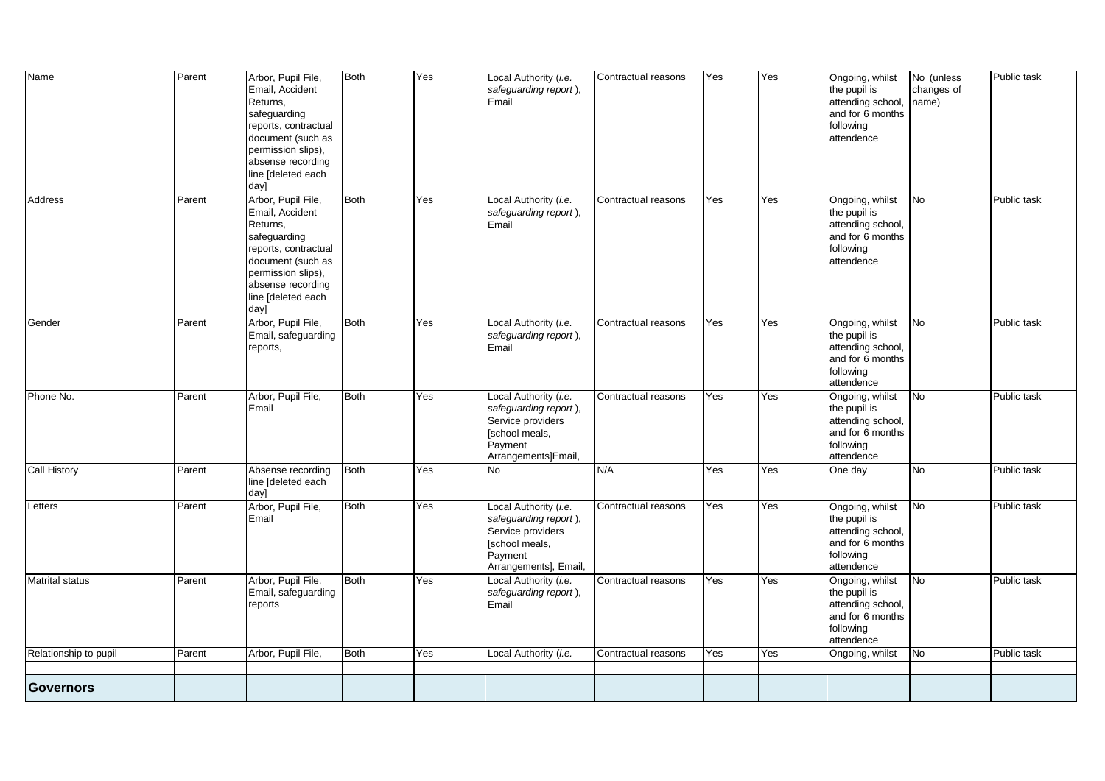| Name                  | Parent | Arbor, Pupil File,<br>Email, Accident<br>Returns,<br>safeguarding<br>reports, contractual<br>document (such as<br>permission slips),<br>absense recording<br>line [deleted each<br>day] | <b>Both</b> | Yes | Local Authority (i.e.<br>safeguarding report),<br>Email                                                                   | Contractual reasons | Yes | Yes | Ongoing, whilst<br>the pupil is<br>attending school<br>and for 6 months<br>following<br>attendence  | $\overline{\mathsf{No}}$ (unless<br>changes of<br>name) | Public task |
|-----------------------|--------|-----------------------------------------------------------------------------------------------------------------------------------------------------------------------------------------|-------------|-----|---------------------------------------------------------------------------------------------------------------------------|---------------------|-----|-----|-----------------------------------------------------------------------------------------------------|---------------------------------------------------------|-------------|
| Address               | Parent | Arbor, Pupil File,<br>Email, Accident<br>Returns,<br>safeguarding<br>reports, contractual<br>document (such as<br>permission slips),<br>absense recording<br>line [deleted each<br>day] | <b>Both</b> | Yes | Local Authority (i.e.<br>safeguarding report),<br>Email                                                                   | Contractual reasons | Yes | Yes | Ongoing, whilst<br>the pupil is<br>attending school,<br>and for 6 months<br>following<br>attendence | <b>No</b>                                               | Public task |
| Gender                | Parent | Arbor, Pupil File,<br>Email, safeguarding<br>reports,                                                                                                                                   | Both        | Yes | Local Authority (i.e.<br>safeguarding report),<br>Email                                                                   | Contractual reasons | Yes | Yes | Ongoing, whilst<br>the pupil is<br>attending school,<br>and for 6 months<br>following<br>attendence | No                                                      | Public task |
| Phone No.             | Parent | Arbor, Pupil File,<br>Email                                                                                                                                                             | <b>Both</b> | Yes | Local Authority (i.e.<br>safeguarding report),<br>Service providers<br>[school meals,<br>Payment<br>Arrangements]Email,   | Contractual reasons | Yes | Yes | Ongoing, whilst<br>the pupil is<br>attending school,<br>and for 6 months<br>following<br>attendence | N <sub>o</sub>                                          | Public task |
| <b>Call History</b>   | Parent | Absense recording<br>line [deleted each<br>day]                                                                                                                                         | <b>Both</b> | Yes | <b>No</b>                                                                                                                 | N/A                 | Yes | Yes | One day                                                                                             | $\overline{N}$                                          | Public task |
| Letters               | Parent | Arbor, Pupil File,<br>Email                                                                                                                                                             | <b>Both</b> | Yes | Local Authority (i.e.<br>safeguarding report),<br>Service providers<br>[school meals,<br>Payment<br>Arrangements], Email, | Contractual reasons | Yes | Yes | Ongoing, whilst<br>the pupil is<br>attending school,<br>and for 6 months<br>following<br>attendence | <b>No</b>                                               | Public task |
| Matrital status       | Parent | Arbor, Pupil File,<br>Email, safeguarding<br>reports                                                                                                                                    | <b>Both</b> | Yes | Local Authority (i.e.<br>safeguarding report),<br>Email                                                                   | Contractual reasons | Yes | Yes | Ongoing, whilst<br>the pupil is<br>attending school,<br>and for 6 months<br>following<br>attendence | <b>No</b>                                               | Public task |
| Relationship to pupil | Parent | Arbor, Pupil File,                                                                                                                                                                      | <b>Both</b> | Yes | Local Authority (i.e.                                                                                                     | Contractual reasons | Yes | Yes | Ongoing, whilst                                                                                     | <b>No</b>                                               | Public task |
| <b>Governors</b>      |        |                                                                                                                                                                                         |             |     |                                                                                                                           |                     |     |     |                                                                                                     |                                                         |             |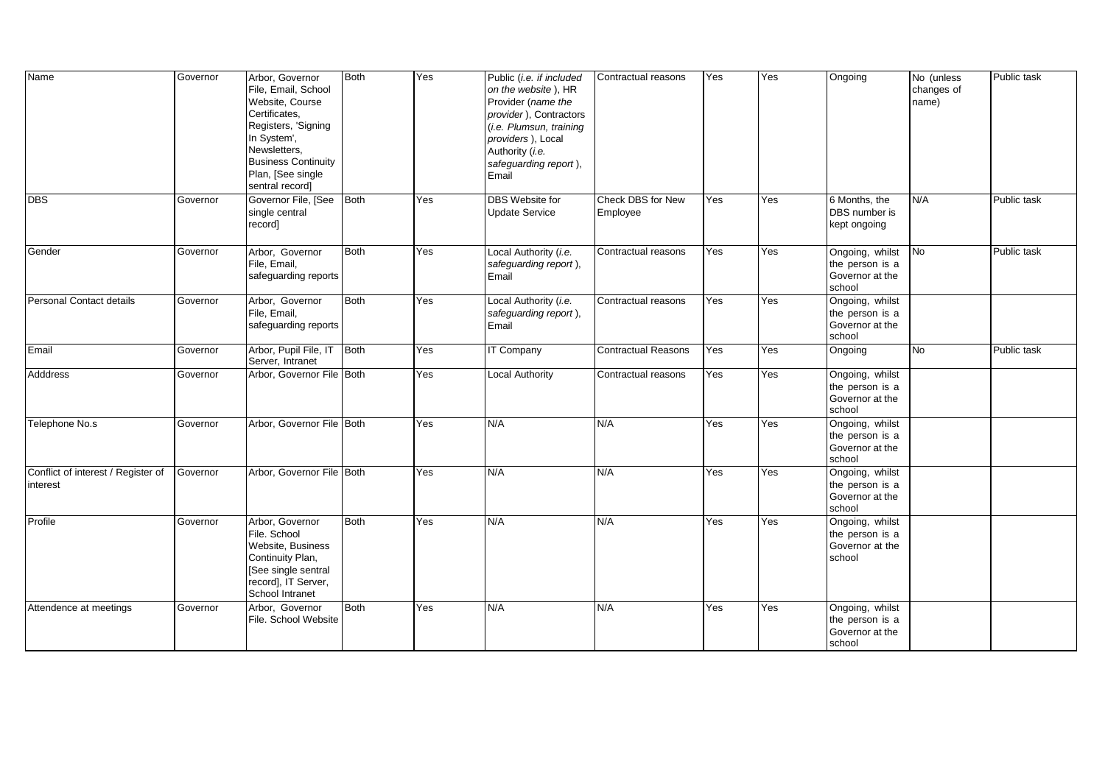| Name                                           | Governor | Arbor, Governor<br>File, Email, School<br>Website, Course<br>Certificates,<br>Registers, 'Signing<br>In System',<br>Newsletters,<br><b>Business Continuity</b><br>Plan, [See single<br>sentral record] | <b>Both</b> | Yes | Public (i.e. if included<br>on the website), HR<br>Provider (name the<br>provider), Contractors<br>(i.e. Plumsun, training<br>providers), Local<br>Authority (i.e.<br>safeguarding report),<br>Email | Contractual reasons           | Yes | Yes | Ongoing                                                         | No (unless<br>changes of<br>name) | Public task |
|------------------------------------------------|----------|--------------------------------------------------------------------------------------------------------------------------------------------------------------------------------------------------------|-------------|-----|------------------------------------------------------------------------------------------------------------------------------------------------------------------------------------------------------|-------------------------------|-----|-----|-----------------------------------------------------------------|-----------------------------------|-------------|
| <b>DBS</b>                                     | Governor | Governor File, [See<br>single central<br>record]                                                                                                                                                       | Both        | Yes | <b>DBS</b> Website for<br><b>Update Service</b>                                                                                                                                                      | Check DBS for New<br>Employee | Yes | Yes | 6 Months, the<br>DBS number is<br>kept ongoing                  | N/A                               | Public task |
| Gender                                         | Governor | Arbor, Governor<br>File, Email,<br>safeguarding reports                                                                                                                                                | <b>Both</b> | Yes | Local Authority (i.e.<br>safeguarding report),<br>Email                                                                                                                                              | Contractual reasons           | Yes | Yes | Ongoing, whilst<br>the person is a<br>Governor at the<br>school | No                                | Public task |
| Personal Contact details                       | Governor | Arbor, Governor<br>File, Email,<br>safeguarding reports                                                                                                                                                | <b>Both</b> | Yes | Local Authority (i.e.<br>safeguarding report),<br>Email                                                                                                                                              | Contractual reasons           | Yes | Yes | Ongoing, whilst<br>the person is a<br>Governor at the<br>school |                                   |             |
| Email                                          | Governor | Arbor, Pupil File, IT Both<br>Server, Intranet                                                                                                                                                         |             | Yes | <b>IT Company</b>                                                                                                                                                                                    | <b>Contractual Reasons</b>    | Yes | Yes | Ongoing                                                         | No                                | Public task |
| <b>Adddress</b>                                | Governor | Arbor, Governor File Both                                                                                                                                                                              |             | Yes | <b>Local Authority</b>                                                                                                                                                                               | Contractual reasons           | Yes | Yes | Ongoing, whilst<br>the person is a<br>Governor at the<br>school |                                   |             |
| Telephone No.s                                 | Governor | Arbor, Governor File Both                                                                                                                                                                              |             | Yes | N/A                                                                                                                                                                                                  | N/A                           | Yes | Yes | Ongoing, whilst<br>the person is a<br>Governor at the<br>school |                                   |             |
| Conflict of interest / Register of<br>interest | Governor | Arbor, Governor File Both                                                                                                                                                                              |             | Yes | N/A                                                                                                                                                                                                  | N/A                           | Yes | Yes | Ongoing, whilst<br>the person is a<br>Governor at the<br>school |                                   |             |
| Profile                                        | Governor | Arbor, Governor<br>File. School<br>Website, Business<br>Continuity Plan,<br>[See single sentral<br>record], IT Server,<br>School Intranet                                                              | <b>Both</b> | Yes | N/A                                                                                                                                                                                                  | N/A                           | Yes | Yes | Ongoing, whilst<br>the person is a<br>Governor at the<br>school |                                   |             |
| Attendence at meetings                         | Governor | Arbor, Governor<br>File. School Website                                                                                                                                                                | <b>Both</b> | Yes | N/A                                                                                                                                                                                                  | N/A                           | Yes | Yes | Ongoing, whilst<br>the person is a<br>Governor at the<br>school |                                   |             |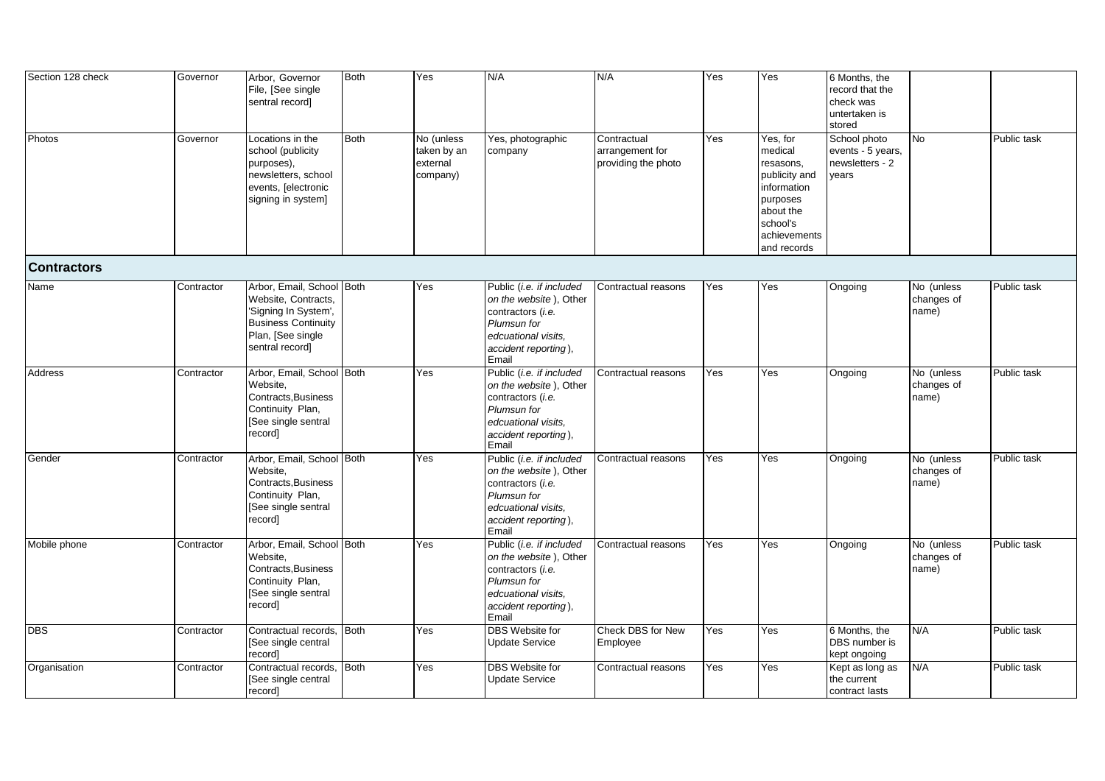| Section 128 check  | Governor   | Arbor, Governor<br>File, [See single<br>sentral record]                                                                                        | <b>Both</b> | Yes                                               | N/A                                                                                                                                            | N/A                                                   | Yes | Yes                                                                                                                                  | 6 Months, the<br>record that the<br>check was<br>untertaken is<br>stored |                                   |             |
|--------------------|------------|------------------------------------------------------------------------------------------------------------------------------------------------|-------------|---------------------------------------------------|------------------------------------------------------------------------------------------------------------------------------------------------|-------------------------------------------------------|-----|--------------------------------------------------------------------------------------------------------------------------------------|--------------------------------------------------------------------------|-----------------------------------|-------------|
| Photos             | Governor   | Locations in the<br>school (publicity<br>purposes),<br>newsletters, school<br>events, [electronic<br>signing in system]                        | <b>Both</b> | No (unless<br>taken by an<br>external<br>company) | Yes, photographic<br>company                                                                                                                   | Contractual<br>arrangement for<br>providing the photo | Yes | Yes, for<br>medical<br>resasons,<br>publicity and<br>information<br>purposes<br>about the<br>school's<br>achievements<br>and records | School photo<br>events - 5 years,<br>newsletters - 2<br>years            | No                                | Public task |
| <b>Contractors</b> |            |                                                                                                                                                |             |                                                   |                                                                                                                                                |                                                       |     |                                                                                                                                      |                                                                          |                                   |             |
| Name               | Contractor | Arbor, Email, School Both<br>Website, Contracts,<br>'Signing In System',<br><b>Business Continuity</b><br>Plan, [See single<br>sentral record] |             | Yes                                               | Public (i.e. if included<br>on the website), Other<br>contractors (i.e.<br>Plumsun for<br>edcuational visits.<br>accident reporting),<br>Email | Contractual reasons                                   | Yes | Yes                                                                                                                                  | Ongoing                                                                  | No (unless<br>changes of<br>name) | Public task |
| Address            | Contractor | Arbor, Email, School Both<br>Website.<br>Contracts, Business<br>Continuity Plan,<br>[See single sentral<br>record]                             |             | Yes                                               | Public (i.e. if included<br>on the website), Other<br>contractors (i.e.<br>Plumsun for<br>edcuational visits.<br>accident reporting),<br>Email | Contractual reasons                                   | Yes | Yes                                                                                                                                  | Ongoing                                                                  | No (unless<br>changes of<br>name) | Public task |
| Gender             | Contractor | Arbor, Email, School Both<br>Website,<br>Contracts, Business<br>Continuity Plan,<br>[See single sentral<br>record]                             |             | Yes                                               | Public (i.e. if included<br>on the website), Other<br>contractors (i.e.<br>Plumsun for<br>edcuational visits.<br>accident reporting),<br>Email | Contractual reasons                                   | Yes | Yes                                                                                                                                  | Ongoing                                                                  | No (unless<br>changes of<br>name) | Public task |
| Mobile phone       | Contractor | Arbor, Email, School Both<br>Website,<br>Contracts, Business<br>Continuity Plan,<br>[See single sentral<br>record]                             |             | <b>Yes</b>                                        | Public (i.e. if included<br>on the website), Other<br>contractors (i.e.<br>Plumsun for<br>edcuational visits.<br>accident reporting),<br>Email | Contractual reasons                                   | Yes | Yes                                                                                                                                  | Ongoing                                                                  | No (unless<br>changes of<br>name) | Public task |
| <b>DBS</b>         | Contractor | Contractual records,<br>See single central<br>record]                                                                                          | <b>Both</b> | Yes                                               | DBS Website for<br><b>Update Service</b>                                                                                                       | Check DBS for New<br>Employee                         | Yes | Yes                                                                                                                                  | 6 Months, the<br>DBS number is<br>kept ongoing                           | N/A                               | Public task |
| Organisation       | Contractor | Contractual records,<br>[See single central<br>record]                                                                                         | <b>Both</b> | Yes                                               | DBS Website for<br><b>Update Service</b>                                                                                                       | Contractual reasons                                   | Yes | Yes                                                                                                                                  | Kept as long as<br>the current<br>contract lasts                         | N/A                               | Public task |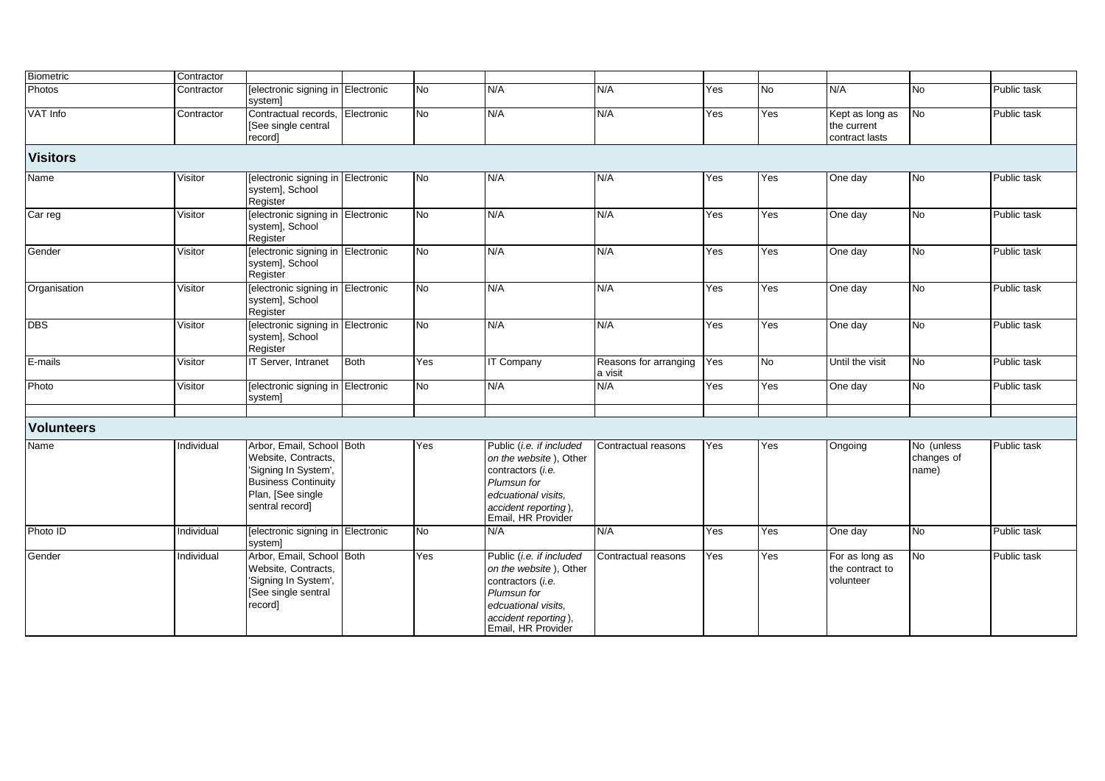| <b>Biometric</b>  | Contractor |                                                                                                                                                |            |                |                                                                                                                                                             |                                  |     |           |                                                  |                                   |             |
|-------------------|------------|------------------------------------------------------------------------------------------------------------------------------------------------|------------|----------------|-------------------------------------------------------------------------------------------------------------------------------------------------------------|----------------------------------|-----|-----------|--------------------------------------------------|-----------------------------------|-------------|
| Photos            | Contractor | [electronic signing in Electronic<br>system]                                                                                                   |            | $\overline{N}$ | N/A                                                                                                                                                         | N/A                              | Yes | <b>No</b> | N/A                                              | No                                | Public task |
| VAT Info          | Contractor | Contractual records,<br>[See single central<br>record]                                                                                         | Electronic | <b>No</b>      | N/A                                                                                                                                                         | N/A                              | Yes | Yes       | Kept as long as<br>the current<br>contract lasts | <b>No</b>                         | Public task |
| <b>Visitors</b>   |            |                                                                                                                                                |            |                |                                                                                                                                                             |                                  |     |           |                                                  |                                   |             |
| Name              | Visitor    | [electronic signing in Electronic<br>system], School<br>Register                                                                               |            | <b>No</b>      | N/A                                                                                                                                                         | N/A                              | Yes | Yes       | One day                                          | No                                | Public task |
| Car reg           | Visitor    | [electronic signing in Electronic<br>system], School<br>Register                                                                               |            | Ю              | N/A                                                                                                                                                         | N/A                              | Yes | Yes       | One day                                          | No                                | Public task |
| Gender            | Visitor    | [electronic signing in Electronic<br>system], School<br>Register                                                                               |            | No             | N/A                                                                                                                                                         | N/A                              | Yes | Yes       | One day                                          | <b>No</b>                         | Public task |
| Organisation      | Visitor    | [electronic signing in Electronic<br>system], School<br>Register                                                                               |            | <b>No</b>      | N/A                                                                                                                                                         | N/A                              | Yes | Yes       | One day                                          | No                                | Public task |
| <b>DBS</b>        | Visitor    | [electronic signing in Electronic<br>system], School<br>Register                                                                               |            | Ю              | N/A                                                                                                                                                         | N/A                              | Yes | Yes       | One day                                          | <b>No</b>                         | Public task |
| E-mails           | Visitor    | IT Server, Intranet                                                                                                                            | Both       | Yes            | <b>IT Company</b>                                                                                                                                           | Reasons for arranging<br>a visit | Yes | <b>No</b> | Until the visit                                  | No                                | Public task |
| Photo             | Visitor    | [electronic signing in Electronic<br>system]                                                                                                   |            | No             | N/A                                                                                                                                                         | N/A                              | Yes | Yes       | One day                                          | No                                | Public task |
|                   |            |                                                                                                                                                |            |                |                                                                                                                                                             |                                  |     |           |                                                  |                                   |             |
| <b>Volunteers</b> |            |                                                                                                                                                |            |                |                                                                                                                                                             |                                  |     |           |                                                  |                                   |             |
| Name              | Individual | Arbor, Email, School Both<br>Website, Contracts,<br>'Signing In System',<br><b>Business Continuity</b><br>Plan, [See single<br>sentral record] |            | Yes            | Public (i.e. if included<br>on the website), Other<br>contractors (i.e.<br>Plumsun for<br>edcuational visits.<br>accident reporting),<br>Email, HR Provider | Contractual reasons              | Yes | Yes       | Ongoing                                          | No (unless<br>changes of<br>name) | Public task |
| Photo ID          | Individual | [electronic signing in Electronic<br>system]                                                                                                   |            | <b>No</b>      | N/A                                                                                                                                                         | N/A                              | Yes | Yes       | One day                                          | <b>No</b>                         | Public task |
| Gender            | Individual | Arbor, Email, School Both<br>Website, Contracts,<br>'Signing In System',<br>[See single sentral<br>record]                                     |            | Yes            | Public (i.e. if included<br>on the website), Other<br>contractors (i.e.<br>Plumsun for<br>edcuational visits,<br>accident reporting),<br>Email, HR Provider | Contractual reasons              | Yes | Yes       | For as long as<br>the contract to<br>volunteer   | No                                | Public task |